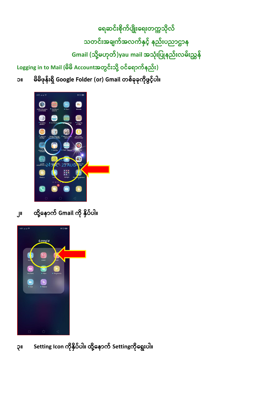**ရေဆင််းစ ိုက်ပ ်းရေ်းတကကသ ိုလ်** သတင်းအချက်အလက်နှင့် နည်းပညာဌာန **Gmail (သ ိုို့မဟိုတ်)yau mail အသ ို်းပပ နည််းလမ််းညွှန် Logging in to Mail (မ မ Accountအတွင််းသ ိုို့ ဝင်ရောက်နည််း)**

၁။ မိမိဖုန်းရှိ Google Folder (or) Gmail တစ်ခုခုကိုဖွင့်ပါ။



**၂။ ထ ိုို့ရနောက် Gmail က ို နှ ပ်ပါ။**

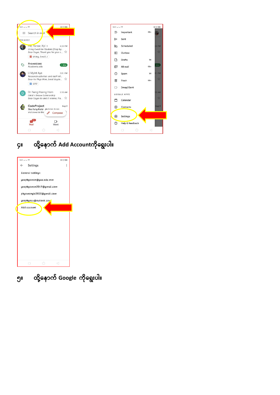

# **၄။ ထ ိုို့ရနောက် Add Accountက ိုရေ ်းပါ။**



**၅။ ထ ိုို့ရနောက် Google က ိုရေ ်းပါ။**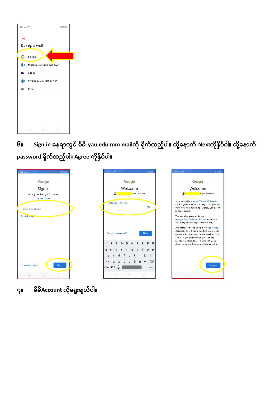| 5:01 al al 令             |              |                              | $@$ (3 (100) |  |
|--------------------------|--------------|------------------------------|--------------|--|
| M                        |              |                              |              |  |
|                          | Set up email |                              |              |  |
| G                        | Google       |                              |              |  |
|                          |              | 0 Outlook, Hotmail, and Live |              |  |
| $\overline{\phantom{a}}$ | Yahoo        |                              |              |  |
| 日图                       |              | Exchange and Office 365      |              |  |
| $\overline{\phantom{0}}$ | Other        |                              |              |  |
|                          |              |                              |              |  |
|                          |              |                              |              |  |
|                          |              |                              |              |  |
|                          |              |                              |              |  |
|                          | . .          |                              |              |  |

**၆။ Sign in ရနောတွင် မ မ yau.edu.mm mailက ို ရ ိုက်ထည ်ပါ။ ထ ိုို့ရနောက် Nextက ိုနှ ပ်ပါ။ ထ ိုို့ရနောက် password ရ ိုက်ထည ်ပါ။ Agree က ိုနှ ပ်ပါ။**



**၇။ မ မ Account က ိုရေ ်းခ ယ်ပါ။**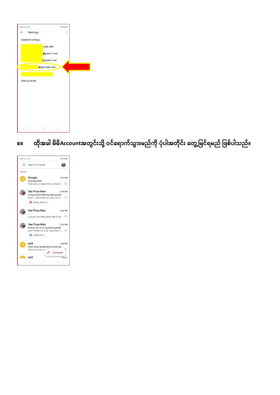| 5:06 Jul 10 3            |             | $@$ (3 (100)   |  |
|--------------------------|-------------|----------------|--|
| Settings<br>$\leftarrow$ |             | $\ddot{\cdot}$ |  |
| General settings         |             |                |  |
|                          | .edu.mm     |                |  |
|                          | @gmail.com  |                |  |
|                          | Ogmail.com  |                |  |
|                          | @yau.edu.mm |                |  |
|                          |             |                |  |
| Add account              |             |                |  |
|                          |             |                |  |
|                          |             |                |  |
|                          |             |                |  |
|                          |             |                |  |
|                          |             |                |  |
|                          |             |                |  |
|                          |             |                |  |
|                          |             |                |  |

၈။ ထိုအခါ မိမိAccountအတွင်းသို့ ဝင်ရောက်သွားမည်ကို ပုံပါအတိုင်း တွေ့မြင်ရမည် ဖြစ်ပါသည်။

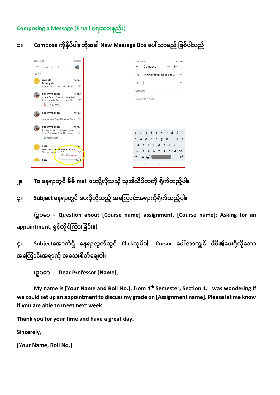**Composing a Message (Email ရေ်းသာ်းနည််း)**

**၁။ Compose က ိုနှ ပ်ပါ။ ထ ိုအခါ New Message Box ရပေါ်လာမည် ပဖစ်ပါသည်။**

| $5:06$ at at $\textcircled{3}$                                                  | <b>@ (3 (100)</b>                                                    | 5:06 Jul Jul <sup></sup>                                             | @ (5) (100)                                      |
|---------------------------------------------------------------------------------|----------------------------------------------------------------------|----------------------------------------------------------------------|--------------------------------------------------|
| Search in mail<br>$\equiv$                                                      | a.                                                                   | Compose<br>$\leftarrow$                                              | $\mathbf{C}$<br>▷                                |
| INBOX                                                                           |                                                                      | From chowittyeesoe@yau.edu                                           |                                                  |
| Google<br>Security alert                                                        | 5:05 PM<br>New device signed in to chowitt $\vec{\lambda}$           | To                                                                   |                                                  |
| Yee Phyo Mon<br>Using Email (Step by step guide)<br>$U \sin q$ Email $\Box$     | 4:40 PM<br>Dear, I would like to send a file $f_{\dots}$             | Subject<br>COMPOSE EMGIl                                             |                                                  |
| Yee Phyo Mon<br>.                                                               | $3:54$ PM<br>sample Yee Phyo Mon (MCTech $\overrightarrow{\lambda}$  |                                                                      |                                                  |
| Yee Phyo Mon<br>Asking for an assignment grade<br><b>M</b> Motivation           | 3:52 PM<br>Dear Professor Cho, My name is $\overrightarrow{\lambda}$ | 5<br>4<br>3<br>6<br>t<br>$\mathsf{y}$<br>$\boldsymbol{a}$<br>e       | 7<br>8<br>9<br>$\boldsymbol{U}$<br>$\mathcal{O}$ |
| edX<br>What does hur or have to do wit<br>Find out in $\sigma_{J}$ r Ll'<br>edX | $-28$ PM<br>☆<br>Compose<br>Sep 2                                    | $\overline{g}$<br>$\leftrightarrow$<br>ကခ 123 $\left(\bigcup\right)$ | h<br>k<br>b<br>$\mathsf{M}$<br>$\mathsf{M}$      |
| П                                                                               |                                                                      | $\Box$<br>∩                                                          | ◁                                                |

၂။ To နေရာတွင် မိမိ mail ပေးပို့လိုသည့် သူ၏လိပ်စာကို ရိုက်ထည့်ပါ။

**၃။ Subject ရနောတွင် ရပ်းပ ိုလ ိုသည ် အရ ကာင််းအောက ိုရ ိုက်ထည ်ပါ။**

**(ဥပမာ - Question about [Course name] assignment, [Course name]: Asking for an appointment, ခွင ်တ ိုင် ကာ်းပခင််း။)**

**၄။ Subjectရအာက်ေှ ရနောလွတ်တွင် Clickလိုပ်ပါ။ Cursor ရပေါ်လာလျှင် မ မ ၏ရပ်းပ ိုို့လ ိုရသာ**  အကြောင်းအရာကို အသေးစိတ်ရေးပါ။

**(ဥပမာ - Dear Professor [Name],**

**My name is [Your Name and Roll No.], from 4 th Semester, Section 1. I was wondering if we could set up an appointment to discuss my grade on [Assignment name]. Please let me know if you are able to meet next week.**

**Thank you for your time and have a great day.**

**Sincerely,**

**[Your Name, Roll No.]**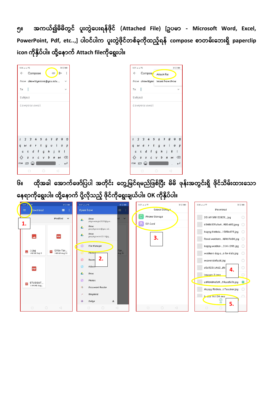၅။ အကယ်၍မိမိတွင် ပူးတွဲပေးရန်ဖိုင် (Attached File) [ဥပမာ - Microsoft Word, Excel, PowerPoint, Pdf, etc..,] ပါဝင်ပါက ပူးတွဲဖိုင်တစ်ခုကိုထည့်ရန် compose စာတမ်းဘေးရှိ paperclip **icon က ိုနှ ပ်ပါ။ ထ ိုို့ရနောက် Attach fileက ိုရေ ်းပါ။**

| 5:06 m. ln. 30:2<br>$@$ $@$ (100)<br>÷<br>Compose<br>$\leftarrow$<br>$\mathord{\text{\rm{e}}}$<br>$\triangleright$ | 5:07 Jul Jul <sup></sup><br>Compos <sup>,</sup><br>$\leftarrow$ | $@$ $@$ (100)<br>Attach file                                |
|--------------------------------------------------------------------------------------------------------------------|-----------------------------------------------------------------|-------------------------------------------------------------|
| From chowittyeesoe@yau.edu<br>$\checkmark$                                                                         |                                                                 | From chowittyee Insert from Drive                           |
| To<br>$\checkmark$                                                                                                 | To                                                              | $\checkmark$                                                |
| Subject                                                                                                            | Subject                                                         |                                                             |
| Compose email                                                                                                      | Compose email                                                   |                                                             |
| 890<br>5<br>$\overline{2}$<br>6<br>$7 -$<br>3<br>4                                                                 | 3<br>4<br>2                                                     | 5<br>6<br>7<br>8<br>9<br>$\Omega$                           |
| t<br>$\mathcal O$<br>$\mathsf{y}$<br>$\pmb{\upsilon}$<br>$\overline{p}$<br>e<br>a                                  | $\epsilon$<br>r<br>$\boldsymbol{q}$<br>$\mathsf{W}$             | t<br>y<br>$\boldsymbol{U}$<br>$\mathcal O$<br>$\mathcal{D}$ |
| k<br>h<br>d<br>$\mathbf{1}$<br>a<br>$\mathcal{G}$                                                                  | d<br>a                                                          | h<br>k<br>$\mathcal{G}$                                     |
| $\circled{x}$<br>$\leftrightarrow$<br>b<br>M<br>X                                                                  | $\boldsymbol{x}$<br>$\leftrightarrow$<br>$\overline{z}$         | $\sqrt{x}$<br>b<br>n<br>M                                   |
| $\frac{123}{2}$<br>$\overline{\phantom{a}}$                                                                        | ۲<br>ကခ 123                                                     | $\leftarrow$                                                |
| $\circ$<br>$\triangleleft$<br>$\Box$                                                                               | 0                                                               | $\circ$<br>$\triangleleft$                                  |

၆။ ထိုအခါ အောက်ဖော်ပြပါ အတိုင်း တွေ့မြင်ရမည်ဖြစ်ပြီး မိမိ ဖုန်းအတွင်းရှိ ဖိုင်သိမ်းထားသော **ရနောက ိုရေ ်းပါ။ ထ ိုို့ရနောက် ပ ိုို့လ ိုသည ် ဖ ိုင်က ိုရေ ်းခ ယ်ပါ။ OK က ိုနှ ပ်ပါ။**

| 5:07     |                      | $@$ $@$ $@$               | 5:07 at at \$                   | $@$ $@$ $@$     | 5:07 al al <sup></sup><br>$@$ (5) (100) | <b>5:08 .al .al</b> 全<br>$@$ (5) (100)           |
|----------|----------------------|---------------------------|---------------------------------|-----------------|-----------------------------------------|--------------------------------------------------|
| $\equiv$ | ownload              | 價<br>÷                    | Open from                       | 三<br>÷          | Select Storus <sup>o</sup>              | Download                                         |
|          |                      | $Modified \sim$           | Drive<br>۵<br>phyomonyie2020@gm | $d \vee$        | Phone Storage                           | 20165188122827_jpg<br>∩                          |
| 1.       |                      |                           | Drive<br>$\triangleright$       |                 | SD Card<br>в                            | 6348633fa5e4900-600.jpeg                         |
|          |                      |                           | yeephyomon@yau.ed<br>Drive<br>۵ |                 |                                         | happy-birthda 1080x675.jpg                       |
|          | <b>AA</b>            | PDF                       | yeephyomon2017@g                |                 | 3.                                      | floral-mothers $48467684$ .jpg $\bigcirc$        |
|          |                      |                           | ō<br>File Manager               |                 |                                         | happy-mother- $314-1395$ .jpg $\bigcirc$         |
| ◛        | 0.09<br>148 kB Sep 3 | SFUx-Ter<br>148 kB Aug 31 | Photos                          | Ter<br>Aug $31$ |                                         | mothers-day-cs-for-kids.jpg<br>$\bigcirc$        |
|          |                      |                           | 2.<br>o<br>Record               |                 |                                         | maxresdefault.jpg<br>O                           |
|          | PDF                  |                           | Videos                          |                 |                                         | $\circ$<br>d0c9221c4d28b<br>4.                   |
|          |                      |                           | ۵<br>Drive                      |                 |                                         | $\bigcirc$<br>IMGGes-2ipes                       |
| POF      | STUDENT              |                           | o<br>Photos                     |                 |                                         | a496484dfd959cedfcf6.jpg<br>$\odot$              |
|          | 1.44 MB Aug          |                           | Document Reader<br>Ch           |                 |                                         | Happy-Birthdat-Teacher.jpg<br>$\left($ $\right)$ |
|          |                      |                           | 斥<br>Ringdroid                  |                 |                                         | $b - a$ ul fsil 24.0ng<br>$\bigcirc$             |
|          |                      |                           | $\circ$<br>Zedge<br>$\triangle$ |                 |                                         | $(\vee)$<br>OK<br>5.                             |
|          | $\circ$<br>$\Box$    | $\triangleleft$           | $\circ$<br>$\Box$               | $\triangleleft$ | $\circ$<br>$\Box$<br>$\lhd$             | $\circ$<br>$\Box$                                |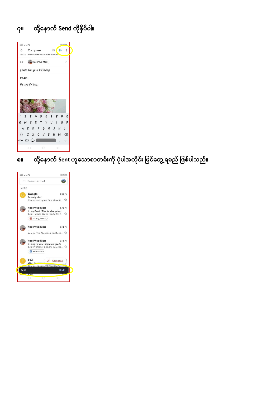#### **၇။ ထ ိုို့ရနောက် Send က ိုနှ ပ်ပါ။**



## ၈။ ထို့နောက် Sent ဟူသောစာတမ်းကို ပုံပါအတိုင်း မြင်တွေ့ ရမည် ဖြစ်ပါသည်။